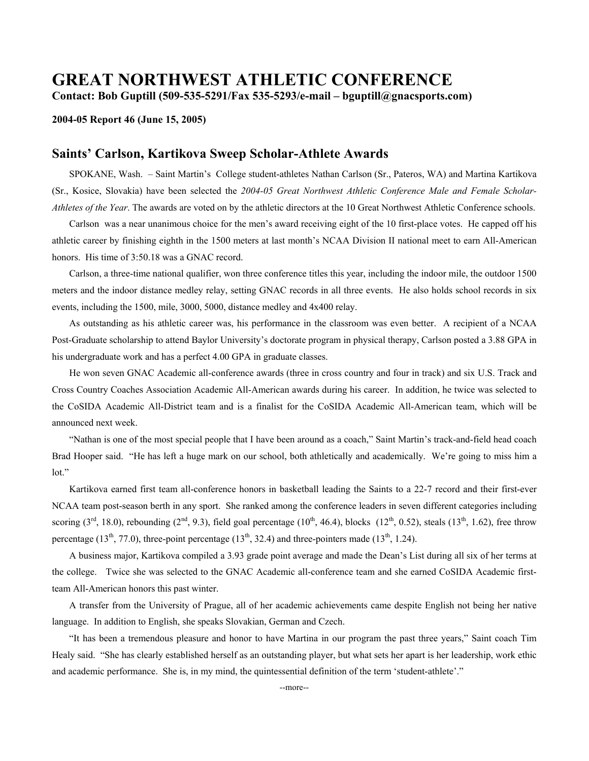# **GREAT NORTHWEST ATHLETIC CONFERENCE**

**Contact: Bob Guptill (509-535-5291/Fax 535-5293/e-mail – bguptill@gnacsports.com)** 

#### **2004-05 Report 46 (June 15, 2005)**

### **Saints' Carlson, Kartikova Sweep Scholar-Athlete Awards**

 SPOKANE, Wash. – Saint Martin's College student-athletes Nathan Carlson (Sr., Pateros, WA) and Martina Kartikova (Sr., Kosice, Slovakia) have been selected the *2004-05 Great Northwest Athletic Conference Male and Female Scholar-Athletes of the Year*. The awards are voted on by the athletic directors at the 10 Great Northwest Athletic Conference schools.

 Carlson was a near unanimous choice for the men's award receiving eight of the 10 first-place votes. He capped off his athletic career by finishing eighth in the 1500 meters at last month's NCAA Division II national meet to earn All-American honors. His time of  $3:50.18$  was a GNAC record.

 Carlson, a three-time national qualifier, won three conference titles this year, including the indoor mile, the outdoor 1500 meters and the indoor distance medley relay, setting GNAC records in all three events. He also holds school records in six events, including the 1500, mile, 3000, 5000, distance medley and 4x400 relay.

 As outstanding as his athletic career was, his performance in the classroom was even better. A recipient of a NCAA Post-Graduate scholarship to attend Baylor University's doctorate program in physical therapy, Carlson posted a 3.88 GPA in his undergraduate work and has a perfect 4.00 GPA in graduate classes.

 He won seven GNAC Academic all-conference awards (three in cross country and four in track) and six U.S. Track and Cross Country Coaches Association Academic All-American awards during his career. In addition, he twice was selected to the CoSIDA Academic All-District team and is a finalist for the CoSIDA Academic All-American team, which will be announced next week.

 "Nathan is one of the most special people that I have been around as a coach," Saint Martin's track-and-field head coach Brad Hooper said. "He has left a huge mark on our school, both athletically and academically. We're going to miss him a lot."

 Kartikova earned first team all-conference honors in basketball leading the Saints to a 22-7 record and their first-ever NCAA team post-season berth in any sport. She ranked among the conference leaders in seven different categories including scoring  $(3<sup>rd</sup>, 18.0)$ , rebounding  $(2<sup>nd</sup>, 9.3)$ , field goal percentage  $(10<sup>th</sup>, 46.4)$ , blocks  $(12<sup>th</sup>, 0.52)$ , steals  $(13<sup>th</sup>, 1.62)$ , free throw percentage (13<sup>th</sup>, 77.0), three-point percentage (13<sup>th</sup>, 32.4) and three-pointers made (13<sup>th</sup>, 1.24).

 A business major, Kartikova compiled a 3.93 grade point average and made the Dean's List during all six of her terms at the college. Twice she was selected to the GNAC Academic all-conference team and she earned CoSIDA Academic firstteam All-American honors this past winter.

 A transfer from the University of Prague, all of her academic achievements came despite English not being her native language. In addition to English, she speaks Slovakian, German and Czech.

 "It has been a tremendous pleasure and honor to have Martina in our program the past three years," Saint coach Tim Healy said. "She has clearly established herself as an outstanding player, but what sets her apart is her leadership, work ethic and academic performance. She is, in my mind, the quintessential definition of the term 'student-athlete'."